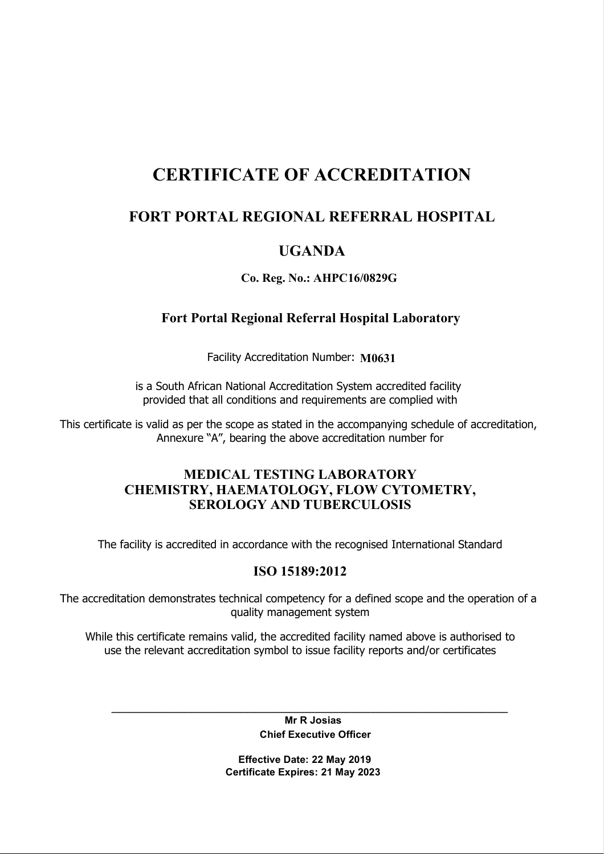# CERTIFICATE OF ACCREDITATION

# FORT PORTAL REGIONAL REFERRAL HOSPITAL

# UGANDA

## Co. Reg. No.: AHPC16/0829G

## Fort Portal Regional Referral Hospital Laboratory

Facility Accreditation Number: M0631

is a South African National Accreditation System accredited facility provided that all conditions and requirements are complied with

This certificate is valid as per the scope as stated in the accompanying schedule of accreditation, Annexure "A", bearing the above accreditation number for

### MEDICAL TESTING LABORATORY CHEMISTRY, HAEMATOLOGY, FLOW CYTOMETRY, SEROLOGY AND TUBERCULOSIS

The facility is accredited in accordance with the recognised International Standard

## ISO 15189:2012

The accreditation demonstrates technical competency for a defined scope and the operation of a quality management system

While this certificate remains valid, the accredited facility named above is authorised to use the relevant accreditation symbol to issue facility reports and/or certificates

> Mr R Josias Chief Executive Officer

\_\_\_\_\_\_\_\_\_\_\_\_\_\_\_\_\_\_\_\_\_\_\_\_\_\_\_\_\_\_\_\_\_\_\_\_\_\_\_\_\_\_\_\_\_\_\_\_\_\_\_\_\_\_\_\_\_\_\_\_\_\_\_\_\_\_\_\_\_\_\_\_\_\_\_\_\_\_

 Effective Date: 22 May 2019 Certificate Expires: 21 May 2023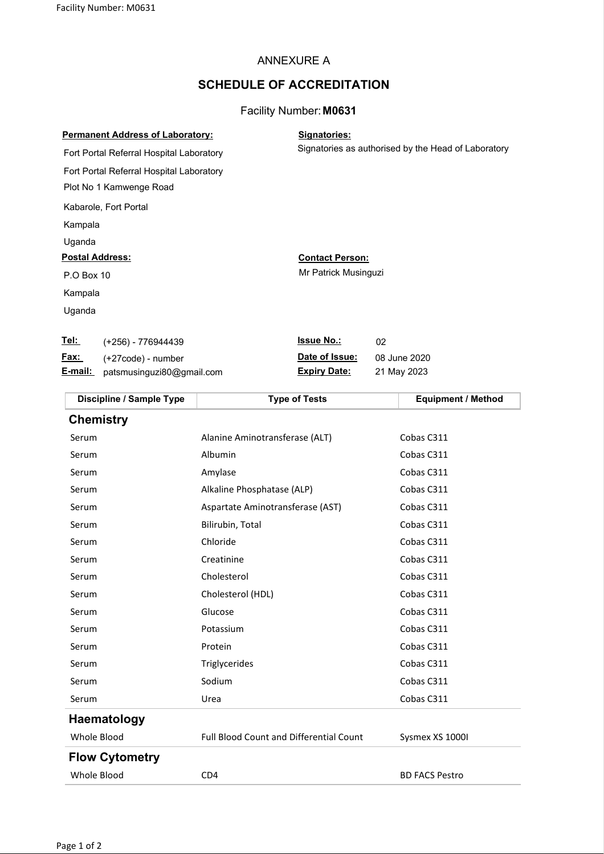#### ANNEXURE A

#### SCHEDULE OF ACCREDITATION

#### Facility Number: M0631

| <b>Permanent Address of Laboratory:</b>  | Signatories:                                        |  |
|------------------------------------------|-----------------------------------------------------|--|
| Fort Portal Referral Hospital Laboratory | Signatories as authorised by the Head of Laboratory |  |
| Fort Portal Referral Hospital Laboratory |                                                     |  |
| Plot No 1 Kamwenge Road                  |                                                     |  |
| Kabarole, Fort Portal                    |                                                     |  |
| Kampala                                  |                                                     |  |
| Uganda                                   |                                                     |  |
| <b>Postal Address:</b>                   | <b>Contact Person:</b>                              |  |
| P.O Box 10                               | Mr Patrick Musinguzi                                |  |
| Kampala                                  |                                                     |  |
| Uganda                                   |                                                     |  |
| Tel:<br>(+256) - 776944439               | <b>Issue No.:</b><br>02                             |  |

Fax: (+27code) - number Date of Issue: 08 June 2020

| Discipline / Sample Type | <b>Type of Tests</b>                           | <b>Equipment / Method</b> |
|--------------------------|------------------------------------------------|---------------------------|
| <b>Chemistry</b>         |                                                |                           |
| Serum                    | Alanine Aminotransferase (ALT)                 | Cobas C311                |
| Serum                    | Albumin                                        | Cobas C311                |
| Serum                    | Amylase                                        | Cobas C311                |
| Serum                    | Alkaline Phosphatase (ALP)                     | Cobas C311                |
| Serum                    | Aspartate Aminotransferase (AST)               | Cobas C311                |
| Serum                    | Bilirubin, Total                               | Cobas C311                |
| Serum                    | Chloride                                       | Cobas C311                |
| Serum                    | Creatinine                                     | Cobas C311                |
| Serum                    | Cholesterol                                    | Cobas C311                |
| Serum                    | Cholesterol (HDL)                              | Cobas C311                |
| Serum                    | Glucose                                        | Cobas C311                |
| Serum                    | Potassium                                      | Cobas C311                |
| Serum                    | Protein                                        | Cobas C311                |
| Serum                    | Triglycerides                                  | Cobas C311                |
| Serum                    | Sodium                                         | Cobas C311                |
| Serum                    | Urea                                           | Cobas C311                |
| Haematology              |                                                |                           |
| Whole Blood              | <b>Full Blood Count and Differential Count</b> | Sysmex XS 1000I           |
| <b>Flow Cytometry</b>    |                                                |                           |
| Whole Blood              | CD4                                            | <b>BD FACS Pestro</b>     |